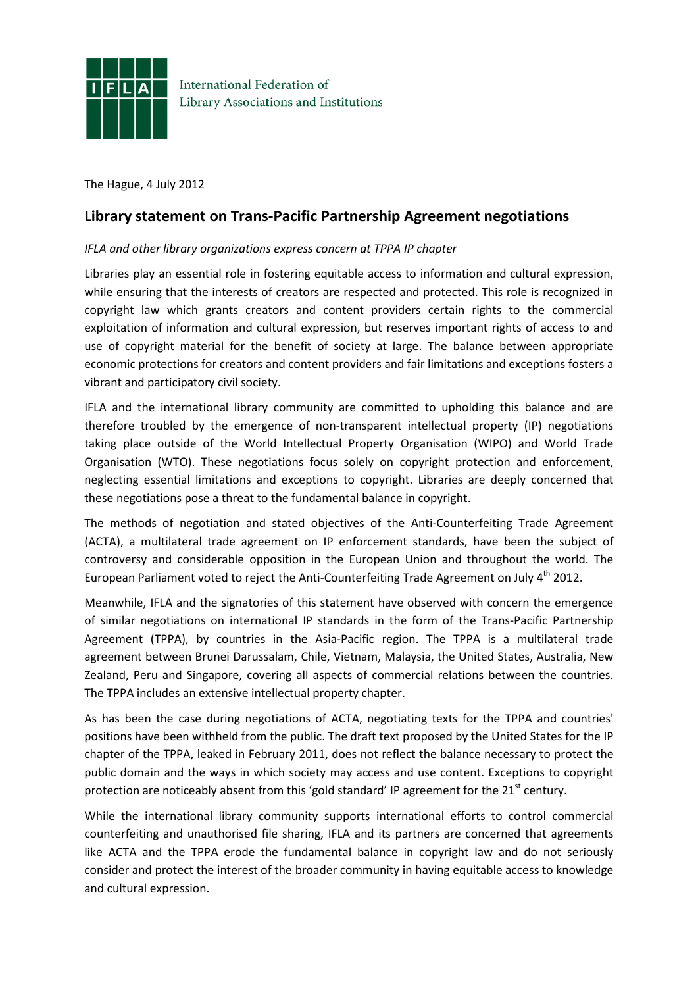

**International Federation of** Library Associations and Institutions

The Hague, 4 July 2012

## **Library statement on Trans-Pacific Partnership Agreement negotiations**

## *IFLA and other library organizations express concern at TPPA IP chapter*

Libraries play an essential role in fostering equitable access to information and cultural expression, while ensuring that the interests of creators are respected and protected. This role is recognized in copyright law which grants creators and content providers certain rights to the commercial exploitation of information and cultural expression, but reserves important rights of access to and use of copyright material for the benefit of society at large. The balance between appropriate economic protections for creators and content providers and fair limitations and exceptions fosters a vibrant and participatory civil society.

IFLA and the international library community are committed to upholding this balance and are therefore troubled by the emergence of non-transparent intellectual property (IP) negotiations taking place outside of the World Intellectual Property Organisation (WIPO) and World Trade Organisation (WTO). These negotiations focus solely on copyright protection and enforcement, neglecting essential limitations and exceptions to copyright. Libraries are deeply concerned that these negotiations pose a threat to the fundamental balance in copyright.

The methods of negotiation and stated objectives of the Anti-Counterfeiting Trade Agreement (ACTA), a multilateral trade agreement on IP enforcement standards, have been the subject of controversy and considerable opposition in the European Union and throughout the world. The European Parliament voted to reject the Anti-Counterfeiting Trade Agreement on July  $4<sup>th</sup>$  2012.

Meanwhile, IFLA and the signatories of this statement have observed with concern the emergence of similar negotiations on international IP standards in the form of the Trans-Pacific Partnership Agreement (TPPA), by countries in the Asia-Pacific region. The TPPA is a multilateral trade agreement between Brunei Darussalam, Chile, Vietnam, Malaysia, the United States, Australia, New Zealand, Peru and Singapore, covering all aspects of commercial relations between the countries. The TPPA includes an extensive intellectual property chapter.

As has been the case during negotiations of ACTA, negotiating texts for the TPPA and countries' positions have been withheld from the public. The draft text proposed by the United States for the IP chapter of the TPPA, leaked in February 2011, does not reflect the balance necessary to protect the public domain and the ways in which society may access and use content. Exceptions to copyright protection are noticeably absent from this 'gold standard' IP agreement for the  $21<sup>st</sup>$  century.

While the international library community supports international efforts to control commercial counterfeiting and unauthorised file sharing, IFLA and its partners are concerned that agreements like ACTA and the TPPA erode the fundamental balance in copyright law and do not seriously consider and protect the interest of the broader community in having equitable access to knowledge and cultural expression.